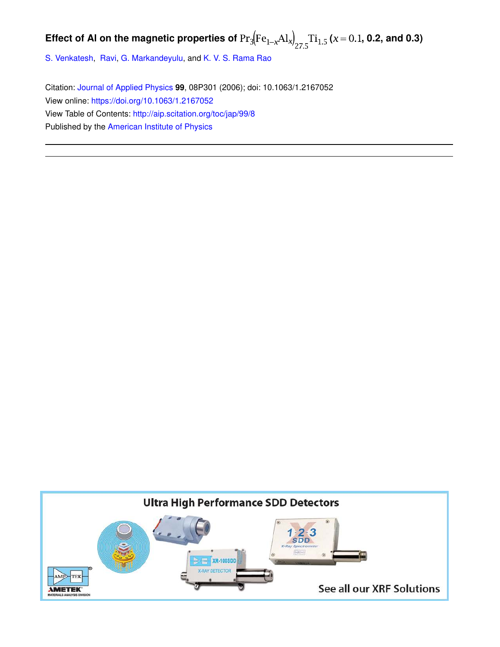# Effect of Al on the magnetic properties of  $Pr_3[Fe_{1-x}Al_x]_{27.5}$   $Ti_{1.5}$  ( $x = 0.1$ , 0.2, and 0.3)

S. Venkatesh, Ravi, G. Markandeyulu, and K. V. S. Rama Rao

Citation: Journal of Applied Physics **99**, 08P301 (2006); doi: 10.1063/1.2167052 View online: https://doi.org/10.1063/1.2167052 View Table of Contents: http://aip.scitation.org/toc/jap/99/8 Published by the American Institute of Physics

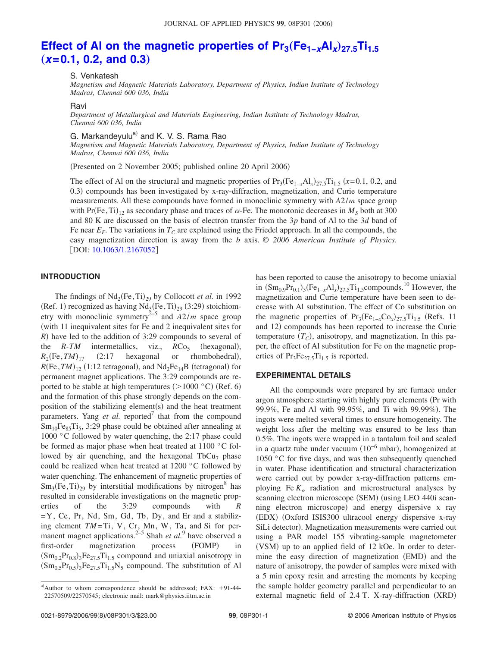# Effect of AI on the magnetic properties of Pr<sub>3</sub>(Fe<sub>1−x</sub>AI<sub>x</sub>)<sub>27.5</sub>Ti<sub>1.5</sub>  $(x=0.1, 0.2,$  and  $0.3)$

S. Venkatesh

*Magnetism and Magnetic Materials Laboratory, Department of Physics, Indian Institute of Technology Madras, Chennai 600 036, India*

#### Ravi

*Department of Metallurgical and Materials Engineering, Indian Institute of Technology Madras, Chennai 600 036, India*

G. Markandeyulu<sup>a)</sup> and K. V. S. Rama Rao

*Magnetism and Magnetic Materials Laboratory, Department of Physics, Indian Institute of Technology Madras, Chennai 600 036, India*

(Presented on 2 November 2005; published online 20 April 2006)

The effect of Al on the structural and magnetic properties of  $Pr_3(Fe_{1-x}Al_x)_{27.5}Ti_{1.5}$  ( $x=0.1, 0.2,$  and 0.3) compounds has been investigated by x-ray-diffraction, magnetization, and Curie temperature measurements. All these compounds have formed in monoclinic symmetry with  $A2/m$  space group with  $Pr(Fe, Ti)_{12}$  as secondary phase and traces of  $\alpha$ -Fe. The monotonic decreases in  $M<sub>S</sub>$  both at 300 and 80 K are discussed on the basis of electron transfer from the 3*p* band of Al to the 3*d* band of Fe near  $E_F$ . The variations in  $T_C$  are explained using the Friedel approach. In all the compounds, the easy magnetization direction is away from the *b* axis. © *2006 American Institute of Physics*. [DOI: 10.1063/1.2167052]

# **INTRODUCTION**

The findings of  $Nd_2(Fe, Ti)_{29}$  by Collocott *et al.* in 1992 (Ref. 1) recognized as having  $Nd_3$ (Fe,Ti)<sub>29</sub> (3:29) stoichiometry with monoclinic symmetry<sup>2–5</sup> and  $A2/m$  space group with 11 inequivalent sites for Fe and 2 inequivalent sites for *R*) have led to the addition of 3:29 compounds to several of the  $R-TM$  intermetallics, viz.,  $RCo<sub>5</sub>$ (hexagonal),  $R_2$ (Fe, *TM*)  $_{17}$  (2:17 hexagonal or rhombohedral),  $R(\text{Fe}, TM)_{12}$  (1:12 tetragonal), and  $\text{Nd}_2\text{Fe}_{14}\text{B}$  (tetragonal) for permanent magnet applications. The 3:29 compounds are reported to be stable at high temperatures  $(>1000 \degree C)$  (Ref. 6) and the formation of this phase strongly depends on the composition of the stabilizing element(s) and the heat treatment parameters. Yang *et al.* reported<sup>7</sup> that from the compound  $Sm_{10}Fe_{85}Ti_5$ , 3:29 phase could be obtained after annealing at 1000 °C followed by water quenching, the 2:17 phase could be formed as major phase when heat treated at 1100 °C followed by air quenching, and the hexagonal  $TbCu<sub>7</sub>$  phase could be realized when heat treated at 1200 °C followed by water quenching. The enhancement of magnetic properties of  $Sm<sub>3</sub>(Fe, Ti)<sub>29</sub>$  by interstitial modifications by nitrogen<sup>8</sup> has resulted in considerable investigations on the magnetic properties of the 3:29 compounds with *R*  $=Y$ , Ce, Pr, Nd, Sm, Gd, Tb, Dy, and Er and a stabilizing element  $TM = Ti$ , V, Cr, Mn, W, Ta, and Si for permanent magnet applications.<sup>2–5</sup> Shah et al.<sup>9</sup> have observed a first-order magnetization process (FOMP) in  $(Sm_{0.2}Pr_{0.8})_3Fe_{27.5}Ti_{1.5}$  compound and uniaxial anisotropy in  $(\text{Sm}_{0.5}\text{Pr}_{0.5})_3\text{Fe}_{27.5}\text{Ti}_{1.5}\text{N}_5$  compound. The substitution of Al

has been reported to cause the anisotropy to become uniaxial in  $(Sm_{0.9}Pr_{0.1})_3$  (Fe<sub>1-*x*</sub>Al<sub>x</sub>)<sub>27.5</sub>Ti<sub>1.5</sub>compounds.<sup>10</sup> However, the magnetization and Curie temperature have been seen to decrease with Al substitution. The effect of Co substitution on the magnetic properties of  $Pr_3(Fe_{1-x}Co_x)_{27.5}Ti_{1.5}$  (Refs. 11 and 12) compounds has been reported to increase the Curie temperature *TC*-, anisotropy, and magnetization. In this paper, the effect of Al substitution for Fe on the magnetic properties of  $Pr_3Fe_{27}$ ,  $Ti_1$ , is reported.

#### **EXPERIMENTAL DETAILS**

All the compounds were prepared by arc furnace under argon atmosphere starting with highly pure elements (Pr with 99.9%, Fe and Al with 99.95%, and Ti with 99.99%). The ingots were melted several times to ensure homogeneity. The weight loss after the melting was ensured to be less than 0.5%. The ingots were wrapped in a tantalum foil and sealed in a quartz tube under vacuum (10<sup>-6</sup> mbar), homogenized at 1050 °C for five days, and was then subsequently quenched in water. Phase identification and structural characterization were carried out by powder x-ray-diffraction patterns employing Fe  $K_{\alpha}$  radiation and microstructural analyses by scanning electron microscope (SEM) (using LEO 440i scanning electron microscope) and energy dispersive x ray (EDX) (Oxford ISIS300 ultracool energy dispersive x-ray SiLi detector). Magnetization measurements were carried out using a PAR model 155 vibrating-sample magnetometer (VSM) up to an applied field of 12 kOe. In order to determine the easy direction of magnetization (EMD) and the nature of anisotropy, the powder of samples were mixed with a 5 min epoxy resin and arresting the moments by keeping the sample holder geometry parallel and perpendicular to an external magnetic field of 2.4 T. X-ray-diffraction (XRD)

a)Author to whom correspondence should be addressed; FAX:  $+91-44-$ 22570509/22570545; electronic mail: mark@physics.iitm.ac.in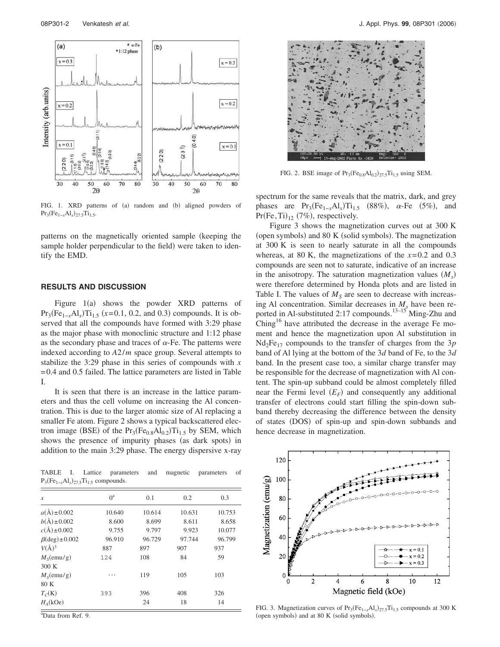

FIG. 1. XRD patterns of (a) random and (b) aligned powders of  $Pr_3(Fe_{1-x}Al_x)_{27.5}Ti_{1.5}.$ 

patterns on the magnetically oriented sample (keeping the sample holder perpendicular to the field) were taken to identify the EMD.

#### **RESULTS AND DISCUSSION**

Figure  $1(a)$  shows the powder XRD patterns of  $Pr_3(Fe_{1-x}Al_x)Ti_{1.5}$  ( $x=0.1, 0.2,$  and 0.3) compounds. It is observed that all the compounds have formed with 3:29 phase as the major phase with monoclinic structure and 1:12 phase as the secondary phase and traces of  $\alpha$ -Fe. The patterns were indexed according to *A*2/*m* space group. Several attempts to stabilize the 3:29 phase in this series of compounds with *x* = 0.4 and 0.5 failed. The lattice parameters are listed in Table I.

It is seen that there is an increase in the lattice parameters and thus the cell volume on increasing the Al concentration. This is due to the larger atomic size of Al replacing a smaller Fe atom. Figure 2 shows a typical backscattered electron image (BSE) of the  $Pr_3(Fe_{0.8}Al_{0.2})Ti_{1.5}$  by SEM, which shows the presence of impurity phases (as dark spots) in addition to the main 3:29 phase. The energy dispersive x-ray

TABLE I. Lattice parameters and magnetic parameters of  $P_3(Fe_{1-x}Al_x)_{27.5}Ti_{1.5}$  compounds.

| $\mathcal{X}$             | $0^a$  | 0.1    | 0.2    | 0.3    |
|---------------------------|--------|--------|--------|--------|
|                           |        |        |        |        |
| $a(\text{Å}) \pm 0.002$   | 10.640 | 10.614 | 10.631 | 10.753 |
| $b(A) \pm 0.002$          | 8.600  | 8.699  | 8.611  | 8.658  |
| $c(\text{\AA}) \pm 0.002$ | 9.755  | 9.797  | 9.923  | 10.077 |
| $\beta$ (deg) ± 0.002     | 96.910 | 96.729 | 97.744 | 96.799 |
| $V(A)^3$                  | 887    | 897    | 907    | 937    |
| M <sub>s</sub> (emu/g)    | 124    | 108    | 84     | 59     |
| 300 K                     |        |        |        |        |
| $M_{\rm g}$ (emu/g)       | .      | 119    | 105    | 103    |
| 80 K                      |        |        |        |        |
| $T_C(K)$                  | 393    | 396    | 408    | 326    |
| $H_4(kOe)$                |        | 24     | 18     | 14     |

 $a_{\text{Data from Ref. } 9}$ 



FIG. 2. BSE image of  $Pr_3(Fe_{0.8}Al_{0.2})_{27.5}Ti_{1.5}$  using SEM.

spectrum for the same reveals that the matrix, dark, and grey phases are  $Pr_3(Fe_{1-x}Al_x)Ti_{1.5}$  (88%),  $\alpha$ -Fe (5%), and  $Pr(Fe, Ti)_{12}$  (7%), respectively.

Figure 3 shows the magnetization curves out at 300 K (open symbols) and 80 K (solid symbols). The magnetization at 300 K is seen to nearly saturate in all the compounds whereas, at 80 K, the magnetizations of the  $x=0.2$  and 0.3 compounds are seen not to saturate, indicative of an increase in the anisotropy. The saturation magnetization values  $(M<sub>s</sub>)$ were therefore determined by Honda plots and are listed in Table I. The values of  $M<sub>S</sub>$  are seen to decrease with increasing Al concentration. Similar decreases in  $M<sub>s</sub>$  have been reported in Al-substituted 2:17 compounds.<sup>13–15</sup> Ming-Zhu and  $Ching<sup>16</sup>$  have attributed the decrease in the average Fe moment and hence the magnetization upon Al substitution in  $Nd_2Fe_{17}$  compounds to the transfer of charges from the 3*p* band of Al lying at the bottom of the 3*d* band of Fe, to the 3*d* band. In the present case too, a similar charge transfer may be responsible for the decrease of magnetization with Al content. The spin-up subband could be almost completely filled near the Fermi level  $(E_F)$  and consequently any additional transfer of electrons could start filling the spin-down subband thereby decreasing the difference between the density of states (DOS) of spin-up and spin-down subbands and hence decrease in magnetization.



FIG. 3. Magnetization curves of  $Pr_3(Fe_{1-x}Al_x)_{27.5}Ti_{1.5}$  compounds at 300 K (open symbols) and at 80 K (solid symbols).